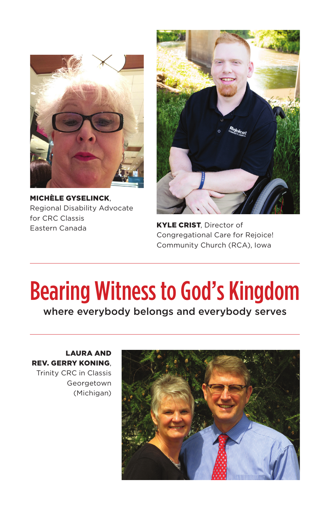

MICHÈLE GYSELINCK, Regional Disability Advocate for CRC Classis Eastern Canada



KYLE CRIST, Director of Congregational Care for Rejoice! Community Church (RCA), Iowa

## Bearing Witness to God's Kingdom

where everybody belongs and everybody serves

LAURA AND REV. GERRY KONING, Trinity CRC in Classis Georgetown (Michigan)